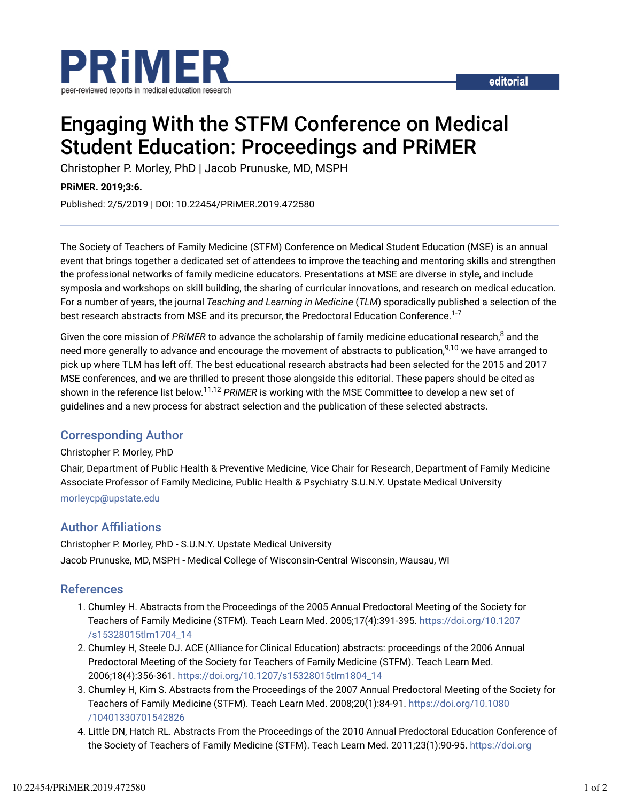

# Engaging With the STFM Conference on Medical Student Education: Proceedings and PRiMER

Christopher P. Morley, PhD | Jacob Prunuske, MD, MSPH

#### **PRiMER. 2019;3:6.**

Published: 2/5/2019 | DOI: 10.22454/PRiMER.2019.472580

The Society of Teachers of Family Medicine (STFM) Conference on Medical Student Education (MSE) is an annual event that brings together a dedicated set of attendees to improve the teaching and mentoring skills and strengthen the professional networks of family medicine educators. Presentations at MSE are diverse in style, and include symposia and workshops on skill building, the sharing of curricular innovations, and research on medical education. For a number of years, the journal *Teaching and Learning in Medicine* (*TLM*) sporadically published a selection of the best research abstracts from MSE and its precursor, the Predoctoral Education Conference.<sup>1-7</sup>

Given the core mission of *PRiMER* to advance the scholarship of family medicine educational research,<sup>8</sup> and the need more generally to advance and encourage the movement of abstracts to publication,<sup>9,10</sup> we have arranged to pick up where TLM has left off. The best educational research abstracts had been selected for the 2015 and 2017 MSE conferences, and we are thrilled to present those alongside this editorial. These papers should be cited as shown in the reference list below.<sup>11,12</sup> PRiMER is working with the MSE Committee to develop a new set of guidelines and a new process for abstract selection and the publication of these selected abstracts.

## Corresponding Author

### Christopher P. Morley, PhD

Chair, Department of Public Health & Preventive Medicine, Vice Chair for Research, Department of Family Medicine Associate Professor of Family Medicine, Public Health & Psychiatry S.U.N.Y. Upstate Medical University morleycp@upstate.edu

## **Author Affiliations**

Christopher P. Morley, PhD - S.U.N.Y. Upstate Medical University Jacob Prunuske, MD, MSPH - Medical College of Wisconsin-Central Wisconsin, Wausau, WI

## References

- 1. Chumley H. Abstracts from the Proceedings of the 2005 Annual Predoctoral Meeting of the Society for Teachers of Family Medicine (STFM). Teach Learn Med. 2005;17(4):391-395. https://doi.org/10.1207 /s15328015tlm1704\_14
- 2. Chumley H, Steele DJ. ACE (Alliance for Clinical Education) abstracts: proceedings of the 2006 Annual Predoctoral Meeting of the Society for Teachers of Family Medicine (STFM). Teach Learn Med. 2006;18(4):356-361. https://doi.org/10.1207/s15328015tlm1804\_14
- 3. Chumley H, Kim S. Abstracts from the Proceedings of the 2007 Annual Predoctoral Meeting of the Society for Teachers of Family Medicine (STFM). Teach Learn Med. 2008;20(1):84-91. https://doi.org/10.1080 /10401330701542826
- Little DN, Hatch RL. Abstracts From the Proceedings of the 2010 Annual Predoctoral Education Conference of 4. the Society of Teachers of Family Medicine (STFM). Teach Learn Med. 2011;23(1):90-95. https://doi.org